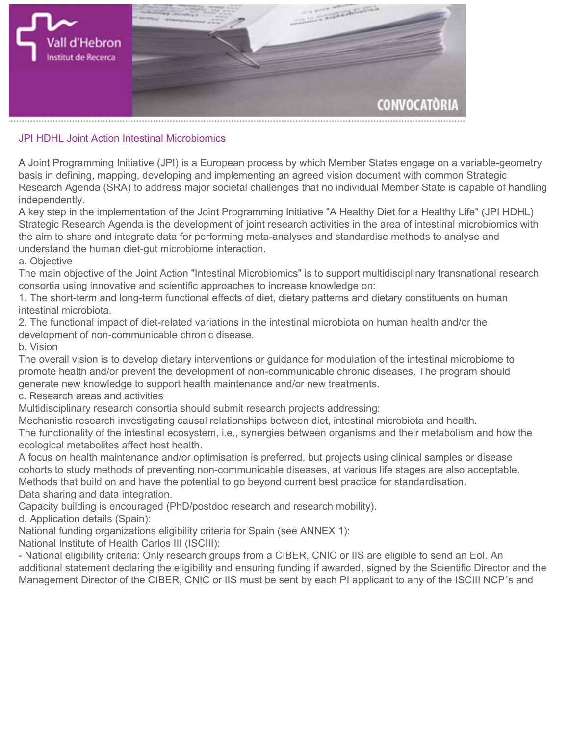

**JPI HDHL Joint Action Intestinal Microbiomics**

**A Joint Programming Initiative (JPI) is a European process by which Member States engage on a variable-geometry basis in defining, mapping, developing and implementing an agreed vision document with common Strategic Research Agenda (SRA) to address major societal challenges that no individual Member State is capable of handling independently.**

**A key step in the implementation of the Joint Programming Initiative "A Healthy Diet for a Healthy Life" (JPI HDHL) Strategic Research Agenda is the development of joint research activities in the area of intestinal microbiomics with the aim to share and integrate data for performing meta-analyses and standardise methods to analyse and understand the human diet-gut microbiome interaction.**

**a. Objective**

**The main objective of the Joint Action "Intestinal Microbiomics" is to support multidisciplinary transnational research consortia using innovative and scientific approaches to increase knowledge on:**

**1. The short-term and long-term functional effects of diet, dietary patterns and dietary constituents on human intestinal microbiota.**

**2. The functional impact of diet-related variations in the intestinal microbiota on human health and/or the development of non-communicable chronic disease.**

**b. Vision**

**The overall vision is to develop dietary interventions or guidance for modulation of the intestinal microbiome to promote health and/or prevent the development of non-communicable chronic diseases. The program should generate new knowledge to support health maintenance and/or new treatments.**

**c. Research areas and activities**

**Multidisciplinary research consortia should submit research projects addressing:**

**Mechanistic research investigating causal relationships between diet, intestinal microbiota and health.**

**The functionality of the intestinal ecosystem, i.e., synergies between organisms and their metabolism and how the ecological metabolites affect host health.**

**A focus on health maintenance and/or optimisation is preferred, but projects using clinical samples or disease cohorts to study methods of preventing non-communicable diseases, at various life stages are also acceptable. Methods that build on and have the potential to go beyond current best practice for standardisation. Data sharing and data integration.**

**Capacity building is encouraged (PhD/postdoc research and research mobility).**

**d. Application details (Spain):**

**National funding organizations eligibility criteria for Spain [\(see ANNEX 1](http://www.healthydietforhealthylife.eu/images/documents/Call_document_JPI_HDHL_Joint_Action_Intestinal_Microbiomics_1.pdf)):**

**National Institute of Health Carlos III (ISCIII):**

**- National eligibility criteria: Only research groups from a CIBER, CNIC or IIS are eligible to send an EoI. An additional statement declaring the eligibility and ensuring funding if awarded, signed by the Scientific Director and the Management Director of the CIBER, CNIC or IIS must be sent by each PI applicant to any of the ISCIII NCP´s and**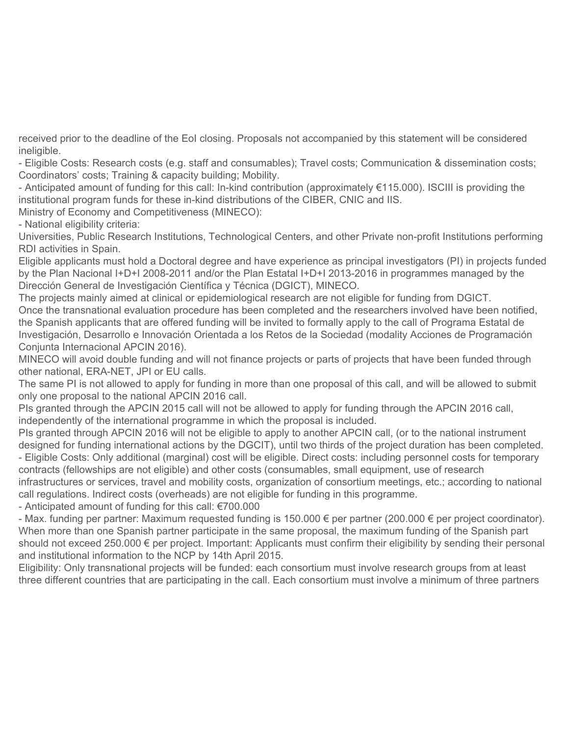**received prior to the deadline of the EoI closing. Proposals not accompanied by this statement will be considered ineligible.**

**- Eligible Costs: Research costs (e.g. staff and consumables); Travel costs; Communication & dissemination costs; Coordinators' costs; Training & capacity building; Mobility.**

**- Anticipated amount of funding for this call: In-kind contribution (approximately €115.000). ISCIII is providing the institutional program funds for these in-kind distributions of the CIBER, CNIC and IIS.**

**Ministry of Economy and Competitiveness (MINECO):**

**- National eligibility criteria:**

**Universities, Public Research Institutions, Technological Centers, and other Private non-profit Institutions performing RDI activities in Spain.**

**Eligible applicants must hold a Doctoral degree and have experience as principal investigators (PI) in projects funded by the Plan Nacional I+D+I 2008-2011 and/or the Plan Estatal I+D+I 2013-2016 in programmes managed by the Dirección General de Investigación Científica y Técnica (DGICT), MINECO.**

**The projects mainly aimed at clinical or epidemiological research are not eligible for funding from DGICT. Once the transnational evaluation procedure has been completed and the researchers involved have been notified, the Spanish applicants that are offered funding will be invited to formally apply to the call of Programa Estatal de Investigación, Desarrollo e Innovación Orientada a los Retos de la Sociedad (modality Acciones de Programación Conjunta Internacional APCIN 2016).**

**MINECO will avoid double funding and will not finance projects or parts of projects that have been funded through other national, ERA-NET, JPI or EU calls.**

**The same PI is not allowed to apply for funding in more than one proposal of this call, and will be allowed to submit only one proposal to the national APCIN 2016 call.**

**PIs granted through the APCIN 2015 call will not be allowed to apply for funding through the APCIN 2016 call, independently of the international programme in which the proposal is included.**

**PIs granted through APCIN 2016 will not be eligible to apply to another APCIN call, (or to the national instrument designed for funding international actions by the DGCIT), until two thirds of the project duration has been completed. - Eligible Costs: Only additional (marginal) cost will be eligible. Direct costs: including personnel costs for temporary contracts (fellowships are not eligible) and other costs (consumables, small equipment, use of research**

**infrastructures or services, travel and mobility costs, organization of consortium meetings, etc.; according to national call regulations. Indirect costs (overheads) are not eligible for funding in this programme.**

**- Anticipated amount of funding for this call: €700.000**

**- Max. funding per partner: Maximum requested funding is 150.000 € per partner (200.000 € per project coordinator). When more than one Spanish partner participate in the same proposal, the maximum funding of the Spanish part should not exceed 250.000 € per project. Important: Applicants must confirm their eligibility by sending their personal and institutional information to the NCP by 14th April 2015.**

**Eligibility: Only transnational projects will be funded: each consortium must involve research groups from at least three different countries that are participating in the call. Each consortium must involve a minimum of three partners**